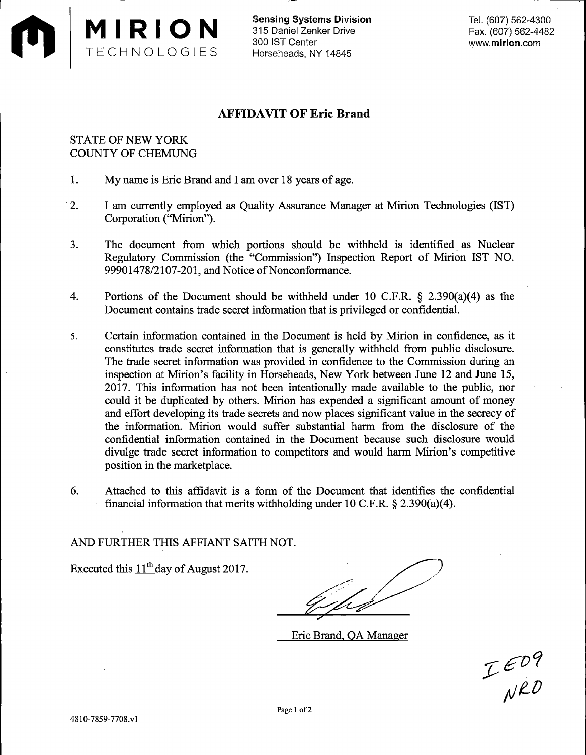

Sensing Systems Division 315 Daniel Zenker Drive 300 IST Center Horseheads, NY 14845

Tel. (607) 562-4300 Fax. (607) 562-4482 www.mirion.com

## **AFFIDAVIT OF Eric Brand**

## STATE OF NEW YORK COUNTY OF CHEMUNG

- 1. My name is Eric Brand and I am over 18 years of age.
- · 2. I am currently employed as Quality Assurance Manager at Mirion Technologies (IST) Corporation ("Mirion").
- 3. The document from which portions should be withheld is identified as Nuclear Regulatory Commission (the "Commission") Inspection Report of Mirion IST NO. 99901478/2107-201, and Notice of Nonconformance.
- 4. Portions of the Document should be withheld under 10 C.F.R. § 2.390(a)(4) as the Document contains trade secret information that is privileged or confidential.
- 5. Certain information contained in the Document is held by Mirion in confidence, as it constitutes trade secret information that is generally withheld from public disclosure. The trade secret information was provided in confidence to the Commission during an inspection at Mirion's facility in Horseheads, New York between June 12 and June 15, 2017. This information has not been intentionally made available to the public, nor could it be duplicated by others. Mirion has expended a significant amount of money and effort developing its trade secrets and now places significant value in the secrecy of the information. Mirion would suffer substantial harm from the disclosure of the confidential information contained in the Document because such disclosure would divulge trade secret information to competitors and would harm Mirion's competitive position in the marketplace.
- 6. Attached to this affidavit is a form of the Document that identifies the confidential financial information that merits withholding under 10 C.F.R. § 2.390(a)(4).

AND FURTHER THIS AFFIANT SAITH NOT.

Executed this  $11<sup>th</sup>$  day of August 2017.

Eric Brand, QA Manager

IED9<br>NRD